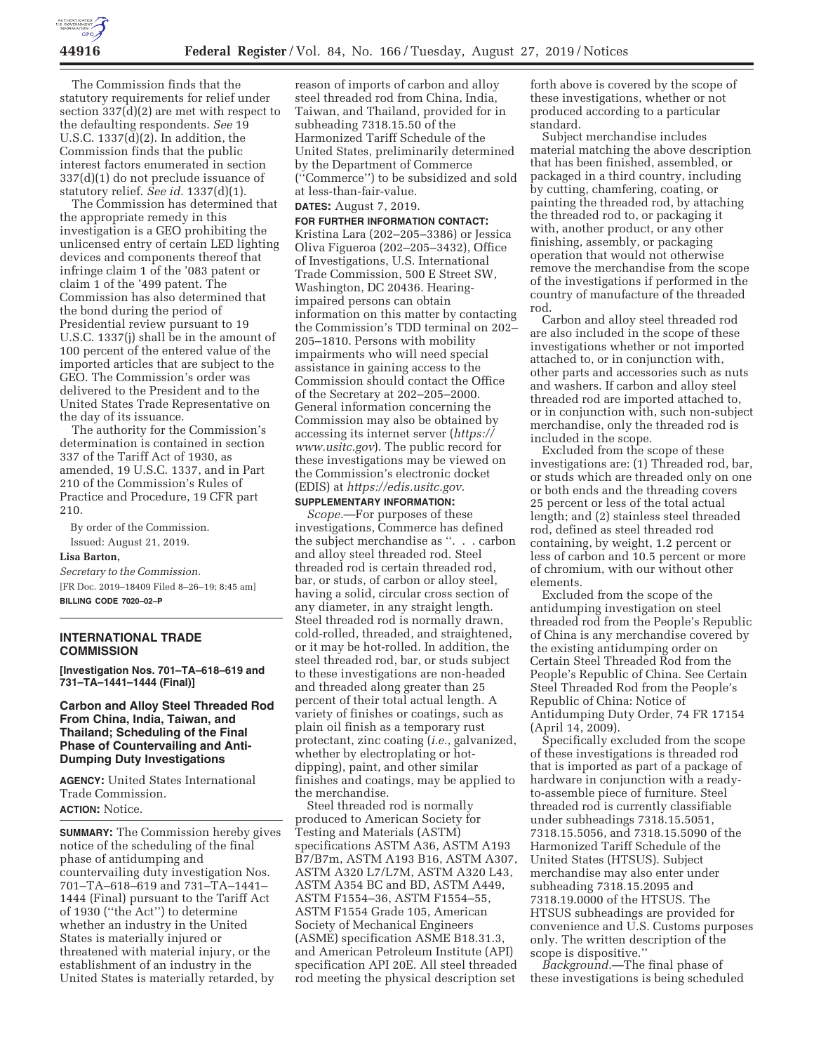

The Commission finds that the statutory requirements for relief under section 337(d)(2) are met with respect to the defaulting respondents. *See* 19 U.S.C. 1337(d)(2). In addition, the Commission finds that the public interest factors enumerated in section 337(d)(1) do not preclude issuance of statutory relief. *See id.* 1337(d)(1).

The Commission has determined that the appropriate remedy in this investigation is a GEO prohibiting the unlicensed entry of certain LED lighting devices and components thereof that infringe claim 1 of the '083 patent or claim 1 of the '499 patent. The Commission has also determined that the bond during the period of Presidential review pursuant to 19 U.S.C. 1337(j) shall be in the amount of 100 percent of the entered value of the imported articles that are subject to the GEO. The Commission's order was delivered to the President and to the United States Trade Representative on the day of its issuance.

The authority for the Commission's determination is contained in section 337 of the Tariff Act of 1930, as amended, 19 U.S.C. 1337, and in Part 210 of the Commission's Rules of Practice and Procedure, 19 CFR part 210.

By order of the Commission. Issued: August 21, 2019.

#### **Lisa Barton,**

*Secretary to the Commission.*  [FR Doc. 2019–18409 Filed 8–26–19; 8:45 am] **BILLING CODE 7020–02–P** 

#### **INTERNATIONAL TRADE COMMISSION**

**[Investigation Nos. 701–TA–618–619 and 731–TA–1441–1444 (Final)]** 

### **Carbon and Alloy Steel Threaded Rod From China, India, Taiwan, and Thailand; Scheduling of the Final Phase of Countervailing and Anti-Dumping Duty Investigations**

**AGENCY:** United States International Trade Commission. **ACTION:** Notice.

**SUMMARY:** The Commission hereby gives notice of the scheduling of the final phase of antidumping and countervailing duty investigation Nos. 701–TA–618–619 and 731–TA–1441– 1444 (Final) pursuant to the Tariff Act of 1930 (''the Act'') to determine whether an industry in the United States is materially injured or threatened with material injury, or the establishment of an industry in the United States is materially retarded, by

reason of imports of carbon and alloy steel threaded rod from China, India, Taiwan, and Thailand, provided for in subheading 7318.15.50 of the Harmonized Tariff Schedule of the United States, preliminarily determined by the Department of Commerce (''Commerce'') to be subsidized and sold at less-than-fair-value.

#### **DATES:** August 7, 2019.

**FOR FURTHER INFORMATION CONTACT:**  Kristina Lara (202–205–3386) or Jessica Oliva Figueroa (202–205–3432), Office of Investigations, U.S. International Trade Commission, 500 E Street SW, Washington, DC 20436. Hearingimpaired persons can obtain information on this matter by contacting the Commission's TDD terminal on 202– 205–1810. Persons with mobility impairments who will need special assistance in gaining access to the Commission should contact the Office of the Secretary at 202–205–2000. General information concerning the Commission may also be obtained by accessing its internet server (*https:// www.usitc.gov*). The public record for these investigations may be viewed on the Commission's electronic docket (EDIS) at *https://edis.usitc.gov.* 

## **SUPPLEMENTARY INFORMATION:**

*Scope.*—For purposes of these investigations, Commerce has defined the subject merchandise as ''. . . carbon and alloy steel threaded rod. Steel threaded rod is certain threaded rod, bar, or studs, of carbon or alloy steel, having a solid, circular cross section of any diameter, in any straight length. Steel threaded rod is normally drawn, cold-rolled, threaded, and straightened, or it may be hot-rolled. In addition, the steel threaded rod, bar, or studs subject to these investigations are non-headed and threaded along greater than 25 percent of their total actual length. A variety of finishes or coatings, such as plain oil finish as a temporary rust protectant, zinc coating (*i.e.,* galvanized, whether by electroplating or hotdipping), paint, and other similar finishes and coatings, may be applied to the merchandise.

Steel threaded rod is normally produced to American Society for Testing and Materials (ASTM) specifications ASTM A36, ASTM A193 B7/B7m, ASTM A193 B16, ASTM A307, ASTM A320 L7/L7M, ASTM A320 L43, ASTM A354 BC and BD, ASTM A449, ASTM F1554–36, ASTM F1554–55, ASTM F1554 Grade 105, American Society of Mechanical Engineers (ASME) specification ASME B18.31.3, and American Petroleum Institute (API) specification API 20E. All steel threaded rod meeting the physical description set

forth above is covered by the scope of these investigations, whether or not produced according to a particular standard.

Subject merchandise includes material matching the above description that has been finished, assembled, or packaged in a third country, including by cutting, chamfering, coating, or painting the threaded rod, by attaching the threaded rod to, or packaging it with, another product, or any other finishing, assembly, or packaging operation that would not otherwise remove the merchandise from the scope of the investigations if performed in the country of manufacture of the threaded rod.

Carbon and alloy steel threaded rod are also included in the scope of these investigations whether or not imported attached to, or in conjunction with, other parts and accessories such as nuts and washers. If carbon and alloy steel threaded rod are imported attached to, or in conjunction with, such non-subject merchandise, only the threaded rod is included in the scope.

Excluded from the scope of these investigations are: (1) Threaded rod, bar, or studs which are threaded only on one or both ends and the threading covers 25 percent or less of the total actual length; and (2) stainless steel threaded rod, defined as steel threaded rod containing, by weight, 1.2 percent or less of carbon and 10.5 percent or more of chromium, with our without other elements.

Excluded from the scope of the antidumping investigation on steel threaded rod from the People's Republic of China is any merchandise covered by the existing antidumping order on Certain Steel Threaded Rod from the People's Republic of China. See Certain Steel Threaded Rod from the People's Republic of China: Notice of Antidumping Duty Order, 74 FR 17154 (April 14, 2009).

Specifically excluded from the scope of these investigations is threaded rod that is imported as part of a package of hardware in conjunction with a readyto-assemble piece of furniture. Steel threaded rod is currently classifiable under subheadings 7318.15.5051, 7318.15.5056, and 7318.15.5090 of the Harmonized Tariff Schedule of the United States (HTSUS). Subject merchandise may also enter under subheading 7318.15.2095 and 7318.19.0000 of the HTSUS. The HTSUS subheadings are provided for convenience and U.S. Customs purposes only. The written description of the scope is dispositive.''

*Background.*—The final phase of these investigations is being scheduled